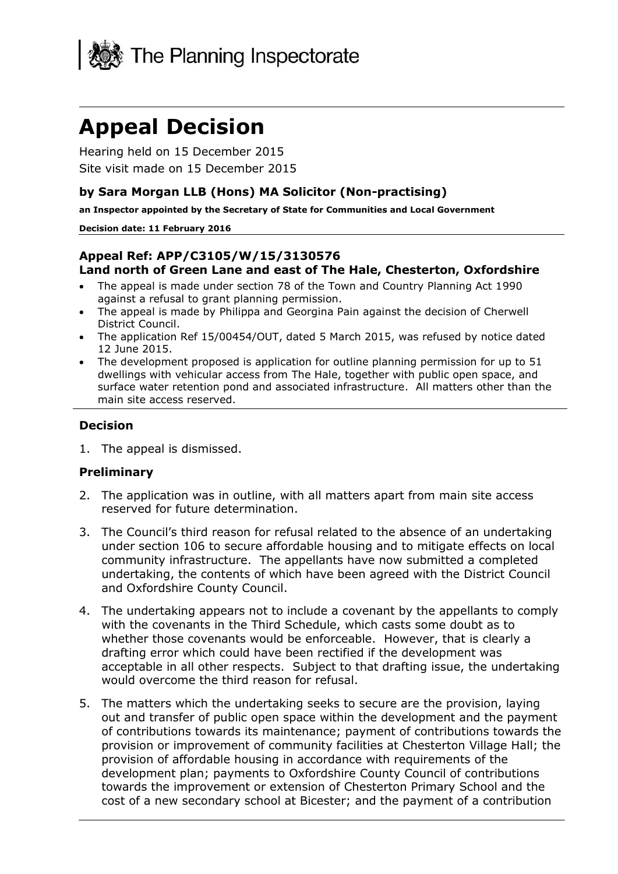

# **Appeal Decision**

Hearing held on 15 December 2015 Site visit made on 15 December 2015

#### **by Sara Morgan LLB (Hons) MA Solicitor (Non-practising)**

**an Inspector appointed by the Secretary of State for Communities and Local Government**

#### **Decision date: 11 February 2016**

#### **Appeal Ref: APP/C3105/W/15/3130576 Land north of Green Lane and east of The Hale, Chesterton, Oxfordshire**

- The appeal is made under section 78 of the Town and Country Planning Act 1990 against a refusal to grant planning permission.
- The appeal is made by Philippa and Georgina Pain against the decision of Cherwell District Council.
- The application Ref 15/00454/OUT, dated 5 March 2015, was refused by notice dated 12 June 2015.
- The development proposed is application for outline planning permission for up to 51 dwellings with vehicular access from The Hale, together with public open space, and surface water retention pond and associated infrastructure. All matters other than the main site access reserved.

#### **Decision**

1. The appeal is dismissed.

#### **Preliminary**

- 2. The application was in outline, with all matters apart from main site access reserved for future determination.
- 3. The Council's third reason for refusal related to the absence of an undertaking under section 106 to secure affordable housing and to mitigate effects on local community infrastructure. The appellants have now submitted a completed undertaking, the contents of which have been agreed with the District Council and Oxfordshire County Council.
- 4. The undertaking appears not to include a covenant by the appellants to comply with the covenants in the Third Schedule, which casts some doubt as to whether those covenants would be enforceable. However, that is clearly a drafting error which could have been rectified if the development was acceptable in all other respects. Subject to that drafting issue, the undertaking would overcome the third reason for refusal.
- 5. The matters which the undertaking seeks to secure are the provision, laying out and transfer of public open space within the development and the payment of contributions towards its maintenance; payment of contributions towards the provision or improvement of community facilities at Chesterton Village Hall; the provision of affordable housing in accordance with requirements of the development plan; payments to Oxfordshire County Council of contributions towards the improvement or extension of Chesterton Primary School and the cost of a new secondary school at Bicester; and the payment of a contribution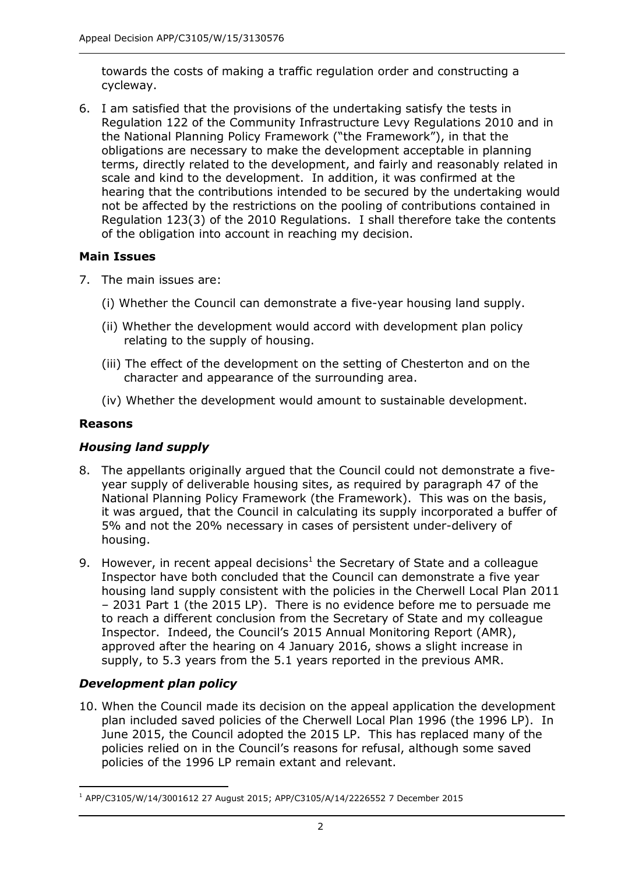towards the costs of making a traffic regulation order and constructing a cycleway.

6. I am satisfied that the provisions of the undertaking satisfy the tests in Regulation 122 of the Community Infrastructure Levy Regulations 2010 and in the National Planning Policy Framework ("the Framework"), in that the obligations are necessary to make the development acceptable in planning terms, directly related to the development, and fairly and reasonably related in scale and kind to the development. In addition, it was confirmed at the hearing that the contributions intended to be secured by the undertaking would not be affected by the restrictions on the pooling of contributions contained in Regulation 123(3) of the 2010 Regulations. I shall therefore take the contents of the obligation into account in reaching my decision.

#### **Main Issues**

- 7. The main issues are:
	- (i) Whether the Council can demonstrate a five-year housing land supply.
	- (ii) Whether the development would accord with development plan policy relating to the supply of housing.
	- (iii) The effect of the development on the setting of Chesterton and on the character and appearance of the surrounding area.
	- (iv) Whether the development would amount to sustainable development.

## **Reasons**

# *Housing land supply*

- 8. The appellants originally argued that the Council could not demonstrate a fiveyear supply of deliverable housing sites, as required by paragraph 47 of the National Planning Policy Framework (the Framework). This was on the basis, it was argued, that the Council in calculating its supply incorporated a buffer of 5% and not the 20% necessary in cases of persistent under-delivery of housing.
- 9. However, in recent appeal decisions<sup>1</sup> the Secretary of State and a colleague Inspector have both concluded that the Council can demonstrate a five year housing land supply consistent with the policies in the Cherwell Local Plan 2011 – 2031 Part 1 (the 2015 LP). There is no evidence before me to persuade me to reach a different conclusion from the Secretary of State and my colleague Inspector. Indeed, the Council's 2015 Annual Monitoring Report (AMR), approved after the hearing on 4 January 2016, shows a slight increase in supply, to 5.3 years from the 5.1 years reported in the previous AMR.

# *Development plan policy*

10. When the Council made its decision on the appeal application the development plan included saved policies of the Cherwell Local Plan 1996 (the 1996 LP). In June 2015, the Council adopted the 2015 LP. This has replaced many of the policies relied on in the Council's reasons for refusal, although some saved policies of the 1996 LP remain extant and relevant.

<sup>-</sup><sup>1</sup> APP/C3105/W/14/3001612 27 August 2015; APP/C3105/A/14/2226552 7 December 2015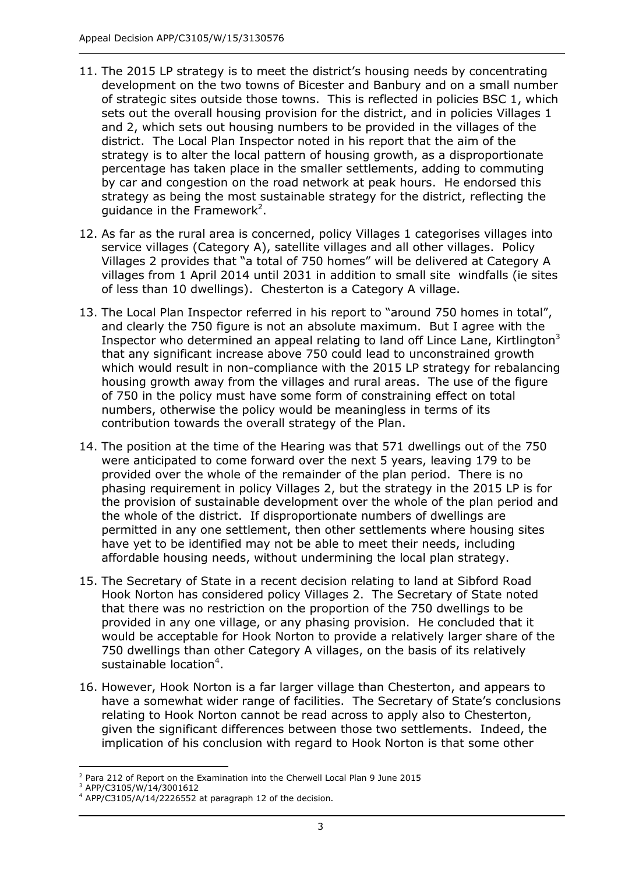- 11. The 2015 LP strategy is to meet the district's housing needs by concentrating development on the two towns of Bicester and Banbury and on a small number of strategic sites outside those towns. This is reflected in policies BSC 1, which sets out the overall housing provision for the district, and in policies Villages 1 and 2, which sets out housing numbers to be provided in the villages of the district. The Local Plan Inspector noted in his report that the aim of the strategy is to alter the local pattern of housing growth, as a disproportionate percentage has taken place in the smaller settlements, adding to commuting by car and congestion on the road network at peak hours. He endorsed this strategy as being the most sustainable strategy for the district, reflecting the guidance in the Framework<sup>2</sup>.
- 12. As far as the rural area is concerned, policy Villages 1 categorises villages into service villages (Category A), satellite villages and all other villages. Policy Villages 2 provides that "a total of 750 homes" will be delivered at Category A villages from 1 April 2014 until 2031 in addition to small site windfalls (ie sites of less than 10 dwellings). Chesterton is a Category A village.
- 13. The Local Plan Inspector referred in his report to "around 750 homes in total", and clearly the 750 figure is not an absolute maximum. But I agree with the Inspector who determined an appeal relating to land off Lince Lane, Kirtlington $3$ that any significant increase above 750 could lead to unconstrained growth which would result in non-compliance with the 2015 LP strategy for rebalancing housing growth away from the villages and rural areas. The use of the figure of 750 in the policy must have some form of constraining effect on total numbers, otherwise the policy would be meaningless in terms of its contribution towards the overall strategy of the Plan.
- 14. The position at the time of the Hearing was that 571 dwellings out of the 750 were anticipated to come forward over the next 5 years, leaving 179 to be provided over the whole of the remainder of the plan period. There is no phasing requirement in policy Villages 2, but the strategy in the 2015 LP is for the provision of sustainable development over the whole of the plan period and the whole of the district. If disproportionate numbers of dwellings are permitted in any one settlement, then other settlements where housing sites have yet to be identified may not be able to meet their needs, including affordable housing needs, without undermining the local plan strategy.
- 15. The Secretary of State in a recent decision relating to land at Sibford Road Hook Norton has considered policy Villages 2. The Secretary of State noted that there was no restriction on the proportion of the 750 dwellings to be provided in any one village, or any phasing provision. He concluded that it would be acceptable for Hook Norton to provide a relatively larger share of the 750 dwellings than other Category A villages, on the basis of its relatively sustainable location $4$ .
- 16. However, Hook Norton is a far larger village than Chesterton, and appears to have a somewhat wider range of facilities. The Secretary of State's conclusions relating to Hook Norton cannot be read across to apply also to Chesterton, given the significant differences between those two settlements. Indeed, the implication of his conclusion with regard to Hook Norton is that some other

j <sup>2</sup> Para 212 of Report on the Examination into the Cherwell Local Plan 9 June 2015

<sup>3</sup> APP/C3105/W/14/3001612

 $4$  APP/C3105/A/14/2226552 at paragraph 12 of the decision.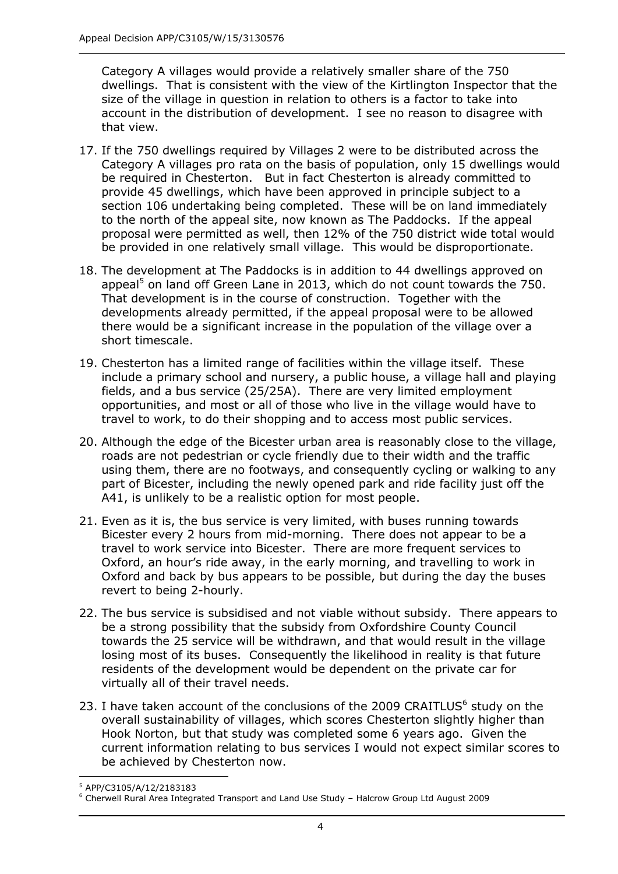Category A villages would provide a relatively smaller share of the 750 dwellings. That is consistent with the view of the Kirtlington Inspector that the size of the village in question in relation to others is a factor to take into account in the distribution of development. I see no reason to disagree with that view.

- 17. If the 750 dwellings required by Villages 2 were to be distributed across the Category A villages pro rata on the basis of population, only 15 dwellings would be required in Chesterton. But in fact Chesterton is already committed to provide 45 dwellings, which have been approved in principle subject to a section 106 undertaking being completed. These will be on land immediately to the north of the appeal site, now known as The Paddocks. If the appeal proposal were permitted as well, then 12% of the 750 district wide total would be provided in one relatively small village. This would be disproportionate.
- 18. The development at The Paddocks is in addition to 44 dwellings approved on appeal<sup>5</sup> on land off Green Lane in 2013, which do not count towards the 750. That development is in the course of construction. Together with the developments already permitted, if the appeal proposal were to be allowed there would be a significant increase in the population of the village over a short timescale.
- 19. Chesterton has a limited range of facilities within the village itself. These include a primary school and nursery, a public house, a village hall and playing fields, and a bus service (25/25A). There are very limited employment opportunities, and most or all of those who live in the village would have to travel to work, to do their shopping and to access most public services.
- 20. Although the edge of the Bicester urban area is reasonably close to the village, roads are not pedestrian or cycle friendly due to their width and the traffic using them, there are no footways, and consequently cycling or walking to any part of Bicester, including the newly opened park and ride facility just off the A41, is unlikely to be a realistic option for most people.
- 21. Even as it is, the bus service is very limited, with buses running towards Bicester every 2 hours from mid-morning. There does not appear to be a travel to work service into Bicester. There are more frequent services to Oxford, an hour's ride away, in the early morning, and travelling to work in Oxford and back by bus appears to be possible, but during the day the buses revert to being 2-hourly.
- 22. The bus service is subsidised and not viable without subsidy. There appears to be a strong possibility that the subsidy from Oxfordshire County Council towards the 25 service will be withdrawn, and that would result in the village losing most of its buses. Consequently the likelihood in reality is that future residents of the development would be dependent on the private car for virtually all of their travel needs.
- 23. I have taken account of the conclusions of the 2009 CRAITLUS $<sup>6</sup>$  study on the</sup> overall sustainability of villages, which scores Chesterton slightly higher than Hook Norton, but that study was completed some 6 years ago. Given the current information relating to bus services I would not expect similar scores to be achieved by Chesterton now.

j <sup>5</sup> APP/C3105/A/12/2183183

<sup>6</sup> Cherwell Rural Area Integrated Transport and Land Use Study – Halcrow Group Ltd August 2009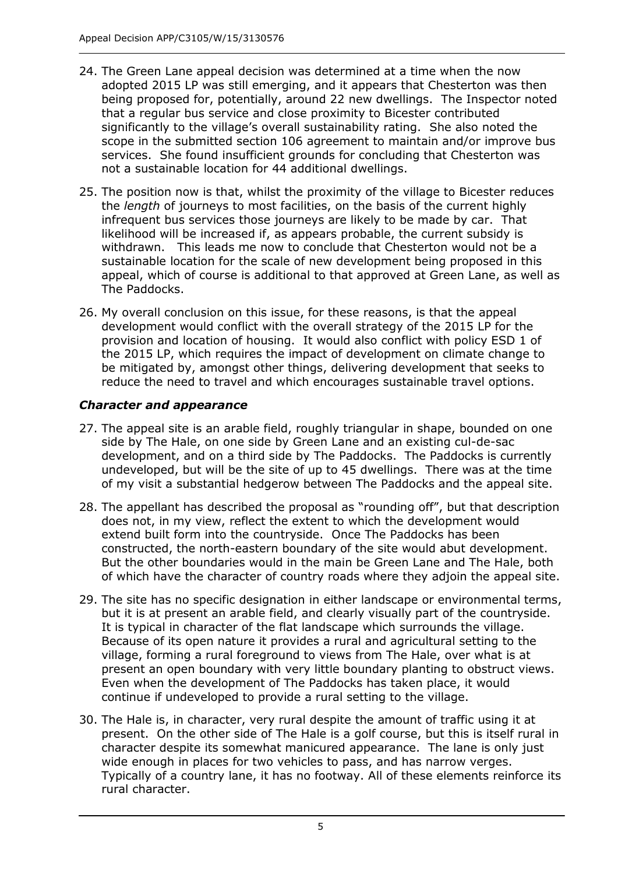- 24. The Green Lane appeal decision was determined at a time when the now adopted 2015 LP was still emerging, and it appears that Chesterton was then being proposed for, potentially, around 22 new dwellings. The Inspector noted that a regular bus service and close proximity to Bicester contributed significantly to the village's overall sustainability rating. She also noted the scope in the submitted section 106 agreement to maintain and/or improve bus services. She found insufficient grounds for concluding that Chesterton was not a sustainable location for 44 additional dwellings.
- 25. The position now is that, whilst the proximity of the village to Bicester reduces the *length* of journeys to most facilities, on the basis of the current highly infrequent bus services those journeys are likely to be made by car. That likelihood will be increased if, as appears probable, the current subsidy is withdrawn. This leads me now to conclude that Chesterton would not be a sustainable location for the scale of new development being proposed in this appeal, which of course is additional to that approved at Green Lane, as well as The Paddocks.
- 26. My overall conclusion on this issue, for these reasons, is that the appeal development would conflict with the overall strategy of the 2015 LP for the provision and location of housing. It would also conflict with policy ESD 1 of the 2015 LP, which requires the impact of development on climate change to be mitigated by, amongst other things, delivering development that seeks to reduce the need to travel and which encourages sustainable travel options.

#### *Character and appearance*

- 27. The appeal site is an arable field, roughly triangular in shape, bounded on one side by The Hale, on one side by Green Lane and an existing cul-de-sac development, and on a third side by The Paddocks. The Paddocks is currently undeveloped, but will be the site of up to 45 dwellings. There was at the time of my visit a substantial hedgerow between The Paddocks and the appeal site.
- 28. The appellant has described the proposal as "rounding off", but that description does not, in my view, reflect the extent to which the development would extend built form into the countryside. Once The Paddocks has been constructed, the north-eastern boundary of the site would abut development. But the other boundaries would in the main be Green Lane and The Hale, both of which have the character of country roads where they adjoin the appeal site.
- 29. The site has no specific designation in either landscape or environmental terms, but it is at present an arable field, and clearly visually part of the countryside. It is typical in character of the flat landscape which surrounds the village. Because of its open nature it provides a rural and agricultural setting to the village, forming a rural foreground to views from The Hale, over what is at present an open boundary with very little boundary planting to obstruct views. Even when the development of The Paddocks has taken place, it would continue if undeveloped to provide a rural setting to the village.
- 30. The Hale is, in character, very rural despite the amount of traffic using it at present. On the other side of The Hale is a golf course, but this is itself rural in character despite its somewhat manicured appearance. The lane is only just wide enough in places for two vehicles to pass, and has narrow verges. Typically of a country lane, it has no footway. All of these elements reinforce its rural character.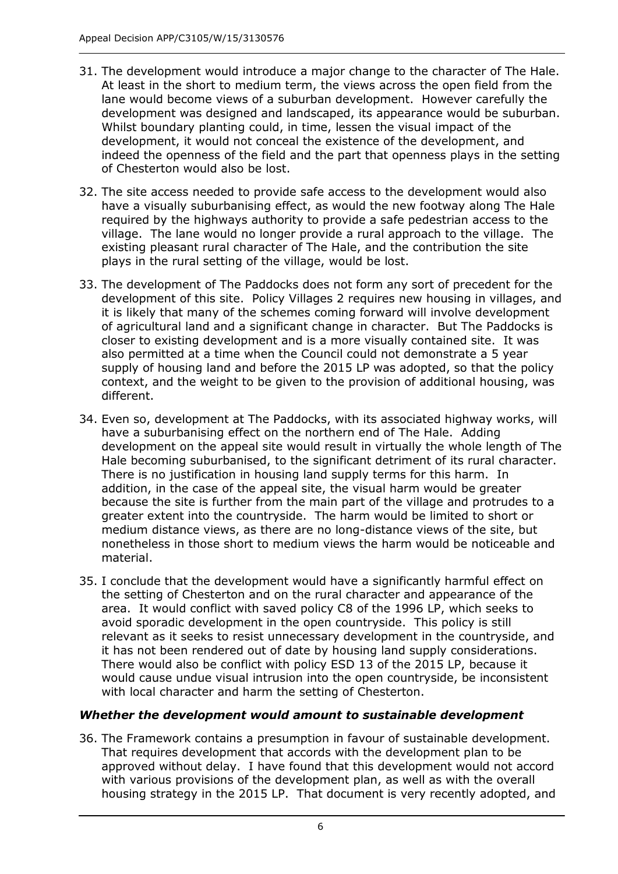- 31. The development would introduce a major change to the character of The Hale. At least in the short to medium term, the views across the open field from the lane would become views of a suburban development. However carefully the development was designed and landscaped, its appearance would be suburban. Whilst boundary planting could, in time, lessen the visual impact of the development, it would not conceal the existence of the development, and indeed the openness of the field and the part that openness plays in the setting of Chesterton would also be lost.
- 32. The site access needed to provide safe access to the development would also have a visually suburbanising effect, as would the new footway along The Hale required by the highways authority to provide a safe pedestrian access to the village. The lane would no longer provide a rural approach to the village. The existing pleasant rural character of The Hale, and the contribution the site plays in the rural setting of the village, would be lost.
- 33. The development of The Paddocks does not form any sort of precedent for the development of this site. Policy Villages 2 requires new housing in villages, and it is likely that many of the schemes coming forward will involve development of agricultural land and a significant change in character. But The Paddocks is closer to existing development and is a more visually contained site. It was also permitted at a time when the Council could not demonstrate a 5 year supply of housing land and before the 2015 LP was adopted, so that the policy context, and the weight to be given to the provision of additional housing, was different.
- 34. Even so, development at The Paddocks, with its associated highway works, will have a suburbanising effect on the northern end of The Hale. Adding development on the appeal site would result in virtually the whole length of The Hale becoming suburbanised, to the significant detriment of its rural character. There is no justification in housing land supply terms for this harm. In addition, in the case of the appeal site, the visual harm would be greater because the site is further from the main part of the village and protrudes to a greater extent into the countryside. The harm would be limited to short or medium distance views, as there are no long-distance views of the site, but nonetheless in those short to medium views the harm would be noticeable and material.
- 35. I conclude that the development would have a significantly harmful effect on the setting of Chesterton and on the rural character and appearance of the area. It would conflict with saved policy C8 of the 1996 LP, which seeks to avoid sporadic development in the open countryside. This policy is still relevant as it seeks to resist unnecessary development in the countryside, and it has not been rendered out of date by housing land supply considerations. There would also be conflict with policy ESD 13 of the 2015 LP, because it would cause undue visual intrusion into the open countryside, be inconsistent with local character and harm the setting of Chesterton.

# *Whether the development would amount to sustainable development*

36. The Framework contains a presumption in favour of sustainable development. That requires development that accords with the development plan to be approved without delay. I have found that this development would not accord with various provisions of the development plan, as well as with the overall housing strategy in the 2015 LP. That document is very recently adopted, and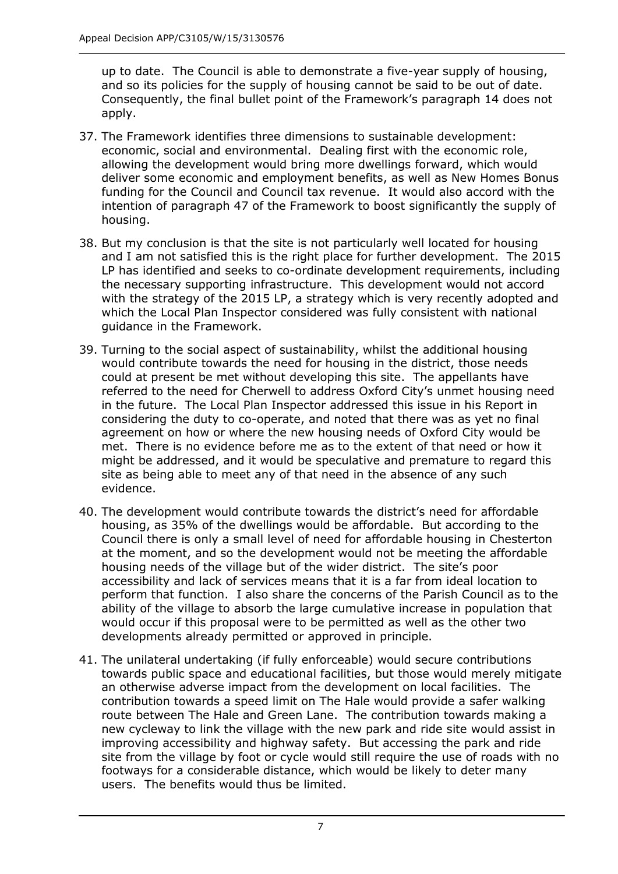up to date. The Council is able to demonstrate a five-year supply of housing, and so its policies for the supply of housing cannot be said to be out of date. Consequently, the final bullet point of the Framework's paragraph 14 does not apply.

- 37. The Framework identifies three dimensions to sustainable development: economic, social and environmental. Dealing first with the economic role, allowing the development would bring more dwellings forward, which would deliver some economic and employment benefits, as well as New Homes Bonus funding for the Council and Council tax revenue. It would also accord with the intention of paragraph 47 of the Framework to boost significantly the supply of housing.
- 38. But my conclusion is that the site is not particularly well located for housing and I am not satisfied this is the right place for further development. The 2015 LP has identified and seeks to co-ordinate development requirements, including the necessary supporting infrastructure. This development would not accord with the strategy of the 2015 LP, a strategy which is very recently adopted and which the Local Plan Inspector considered was fully consistent with national guidance in the Framework.
- 39. Turning to the social aspect of sustainability, whilst the additional housing would contribute towards the need for housing in the district, those needs could at present be met without developing this site. The appellants have referred to the need for Cherwell to address Oxford City's unmet housing need in the future. The Local Plan Inspector addressed this issue in his Report in considering the duty to co-operate, and noted that there was as yet no final agreement on how or where the new housing needs of Oxford City would be met. There is no evidence before me as to the extent of that need or how it might be addressed, and it would be speculative and premature to regard this site as being able to meet any of that need in the absence of any such evidence.
- 40. The development would contribute towards the district's need for affordable housing, as 35% of the dwellings would be affordable. But according to the Council there is only a small level of need for affordable housing in Chesterton at the moment, and so the development would not be meeting the affordable housing needs of the village but of the wider district. The site's poor accessibility and lack of services means that it is a far from ideal location to perform that function. I also share the concerns of the Parish Council as to the ability of the village to absorb the large cumulative increase in population that would occur if this proposal were to be permitted as well as the other two developments already permitted or approved in principle.
- 41. The unilateral undertaking (if fully enforceable) would secure contributions towards public space and educational facilities, but those would merely mitigate an otherwise adverse impact from the development on local facilities. The contribution towards a speed limit on The Hale would provide a safer walking route between The Hale and Green Lane. The contribution towards making a new cycleway to link the village with the new park and ride site would assist in improving accessibility and highway safety. But accessing the park and ride site from the village by foot or cycle would still require the use of roads with no footways for a considerable distance, which would be likely to deter many users. The benefits would thus be limited.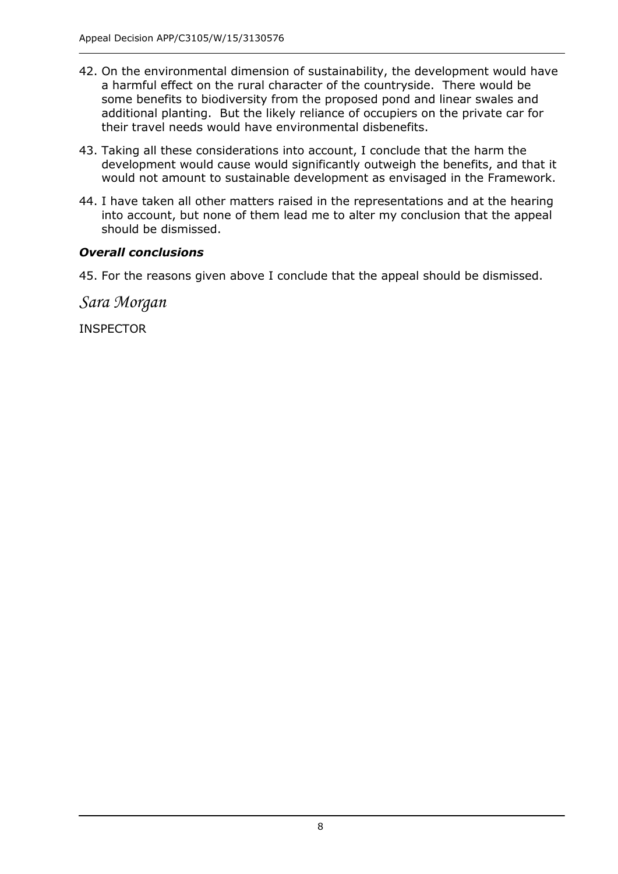- 42. On the environmental dimension of sustainability, the development would have a harmful effect on the rural character of the countryside. There would be some benefits to biodiversity from the proposed pond and linear swales and additional planting. But the likely reliance of occupiers on the private car for their travel needs would have environmental disbenefits.
- 43. Taking all these considerations into account, I conclude that the harm the development would cause would significantly outweigh the benefits, and that it would not amount to sustainable development as envisaged in the Framework.
- 44. I have taken all other matters raised in the representations and at the hearing into account, but none of them lead me to alter my conclusion that the appeal should be dismissed.

# *Overall conclusions*

45. For the reasons given above I conclude that the appeal should be dismissed.

*Sara Morgan*

INSPECTOR